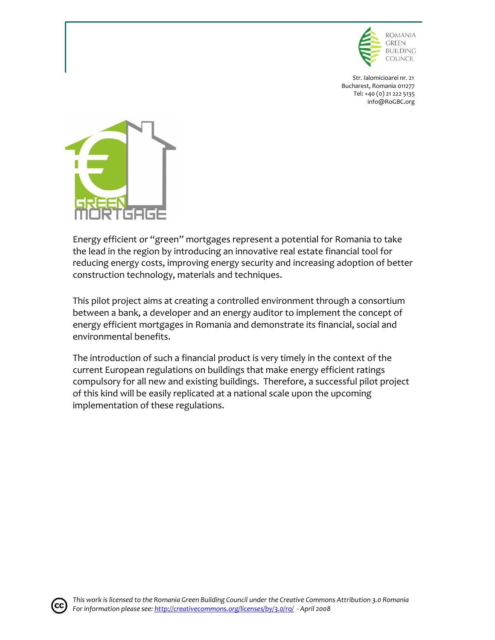

 Str. Ialomicioarei nr. 21 Bucharest, Romania 011277 Tel: +40 (0) 21 222 5135 info@RoGBC.org



Energy efficient or "green" mortgages represent a potential for Romania to take the lead in the region by introducing an innovative real estate financial tool for reducing energy costs, improving energy security and increasing adoption of better construction technology, materials and techniques.

This pilot project aims at creating a controlled environment through a consortium between a bank, a developer and an energy auditor to implement the concept of energy efficient mortgages in Romania and demonstrate its financial, social and environmental benefits.

The introduction of such a financial product is very timely in the context of the current European regulations on buildings that make energy efficient ratings compulsory for all new and existing buildings. Therefore, a successful pilot project of this kind will be easily replicated at a national scale upon the upcoming implementation of these regulations.

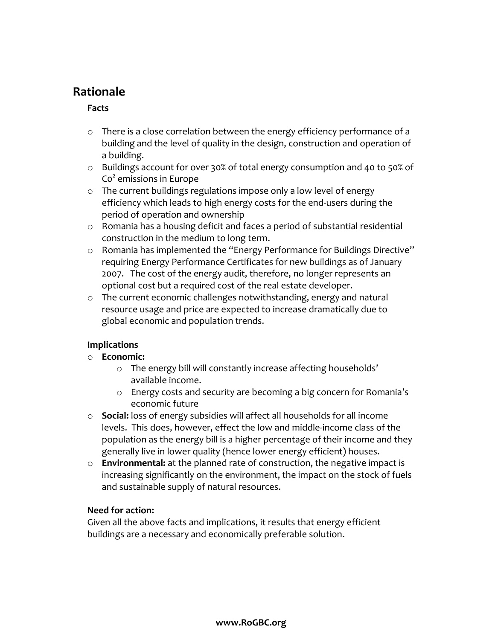## **Rationale**

#### **Facts**

- o There is a close correlation between the energy efficiency performance of a building and the level of quality in the design, construction and operation of a building.
- o Buildings account for over 30% of total energy consumption and 40 to 50% of Co<sup>2</sup> emissions in Europe
- o The current buildings regulations impose only a low level of energy efficiency which leads to high energy costs for the end-users during the period of operation and ownership
- o Romania has a housing deficit and faces a period of substantial residential construction in the medium to long term.
- o Romania has implemented the "Energy Performance for Buildings Directive" requiring Energy Performance Certificates for new buildings as of January 2007. The cost of the energy audit, therefore, no longer represents an optional cost but a required cost of the real estate developer.
- o The current economic challenges notwithstanding, energy and natural resource usage and price are expected to increase dramatically due to global economic and population trends.

### **Implications**

### o **Economic:**

- o The energy bill will constantly increase affecting households' available income.
- o Energy costs and security are becoming a big concern for Romania's economic future
- o **Social:** loss of energy subsidies will affect all households for all income levels. This does, however, effect the low and middle-income class of the population as the energy bill is a higher percentage of their income and they generally live in lower quality (hence lower energy efficient) houses.
- o **Environmental:** at the planned rate of construction, the negative impact is increasing significantly on the environment, the impact on the stock of fuels and sustainable supply of natural resources.

#### **Need for action:**

Given all the above facts and implications, it results that energy efficient buildings are a necessary and economically preferable solution.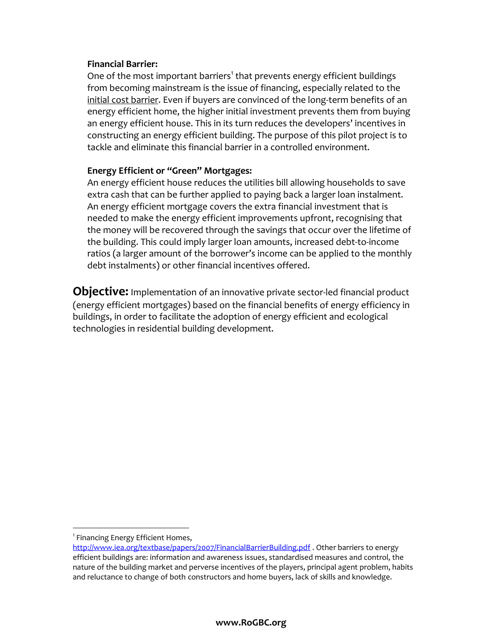#### **Financial Barrier:**

One of the most important barriers<sup>1</sup> that prevents energy efficient buildings from becoming mainstream is the issue of financing, especially related to the initial cost barrier. Even if buyers are convinced of the long-term benefits of an energy efficient home, the higher initial investment prevents them from buying an energy efficient house. This in its turn reduces the developers' incentives in constructing an energy efficient building. The purpose of this pilot project is to tackle and eliminate this financial barrier in a controlled environment.

#### **Energy Efficient or "Green" Mortgages:**

An energy efficient house reduces the utilities bill allowing households to save extra cash that can be further applied to paying back a larger loan instalment. An energy efficient mortgage covers the extra financial investment that is needed to make the energy efficient improvements upfront, recognising that the money will be recovered through the savings that occur over the lifetime of the building. This could imply larger loan amounts, increased debt-to-income ratios (a larger amount of the borrower's income can be applied to the monthly debt instalments) or other financial incentives offered.

**Objective:** Implementation of an innovative private sector-led financial product (energy efficient mortgages) based on the financial benefits of energy efficiency in buildings, in order to facilitate the adoption of energy efficient and ecological technologies in residential building development.

 $\overline{a}$ 

<sup>&</sup>lt;sup>1</sup> Financing Energy Efficient Homes,

<http://www.iea.org/textbase/papers/2007/FinancialBarrierBuilding.pdf> . Other barriers to energy efficient buildings are: information and awareness issues, standardised measures and control, the nature of the building market and perverse incentives of the players, principal agent problem, habits and reluctance to change of both constructors and home buyers, lack of skills and knowledge.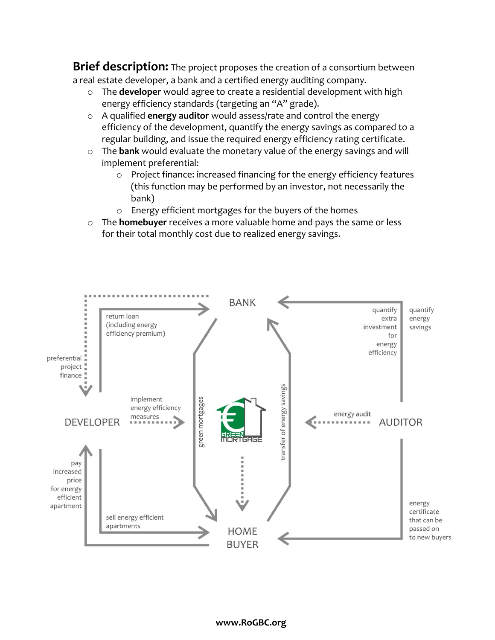**Brief description:** The project proposes the creation of a consortium between a real estate developer, a bank and a certified energy auditing company.

- o The **developer** would agree to create a residential development with high energy efficiency standards (targeting an "A" grade).
- o A qualified **energy auditor** would assess/rate and control the energy efficiency of the development, quantify the energy savings as compared to a regular building, and issue the required energy efficiency rating certificate.
- o The **bank** would evaluate the monetary value of the energy savings and will implement preferential:
	- o Project finance: increased financing for the energy efficiency features (this function may be performed by an investor, not necessarily the bank)
	- o Energy efficient mortgages for the buyers of the homes
- o The **homebuyer** receives a more valuable home and pays the same or less for their total monthly cost due to realized energy savings.

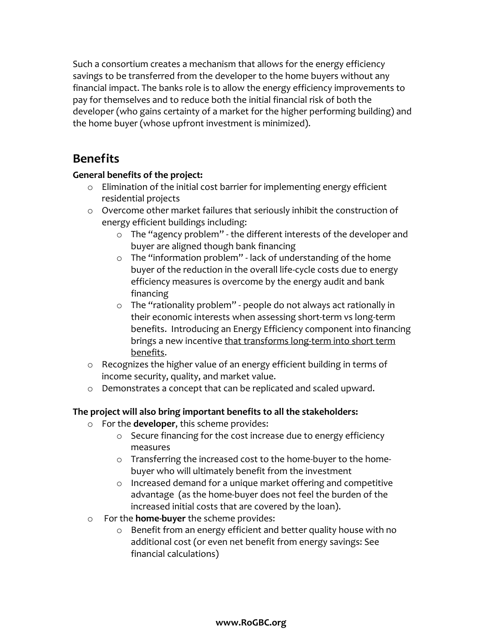Such a consortium creates a mechanism that allows for the energy efficiency savings to be transferred from the developer to the home buyers without any financial impact. The banks role is to allow the energy efficiency improvements to pay for themselves and to reduce both the initial financial risk of both the developer (who gains certainty of a market for the higher performing building) and the home buyer (whose upfront investment is minimized).

# **Benefits**

### **General benefits of the project:**

- o Elimination of the initial cost barrier for implementing energy efficient residential projects
- $\circ$  Overcome other market failures that seriously inhibit the construction of energy efficient buildings including:
	- o The "agency problem" the different interests of the developer and buyer are aligned though bank financing
	- o The "information problem" lack of understanding of the home buyer of the reduction in the overall life-cycle costs due to energy efficiency measures is overcome by the energy audit and bank financing
	- o The "rationality problem" people do not always act rationally in their economic interests when assessing short-term vs long-term benefits. Introducing an Energy Efficiency component into financing brings a new incentive that transforms long-term into short term benefits.
- o Recognizes the higher value of an energy efficient building in terms of income security, quality, and market value.
- o Demonstrates a concept that can be replicated and scaled upward.

## **The project will also bring important benefits to all the stakeholders:**

- o For the **developer**, this scheme provides:
	- o Secure financing for the cost increase due to energy efficiency measures
	- o Transferring the increased cost to the home-buyer to the homebuyer who will ultimately benefit from the investment
	- o Increased demand for a unique market offering and competitive advantage (as the home-buyer does not feel the burden of the increased initial costs that are covered by the loan).
- o For the **home-buyer** the scheme provides:
	- o Benefit from an energy efficient and better quality house with no additional cost (or even net benefit from energy savings: See financial calculations)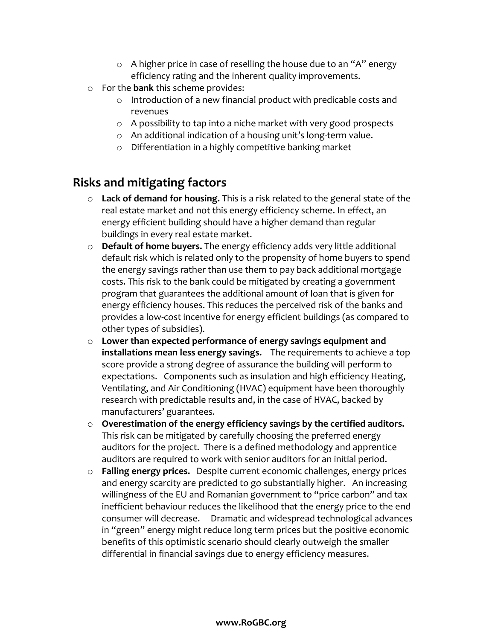- o A higher price in case of reselling the house due to an "A" energy efficiency rating and the inherent quality improvements.
- o For the **bank** this scheme provides:
	- o Introduction of a new financial product with predicable costs and revenues
	- o A possibility to tap into a niche market with very good prospects
	- o An additional indication of a housing unit's long-term value.
	- o Differentiation in a highly competitive banking market

# **Risks and mitigating factors**

- o **Lack of demand for housing.** This is a risk related to the general state of the real estate market and not this energy efficiency scheme. In effect, an energy efficient building should have a higher demand than regular buildings in every real estate market.
- o **Default of home buyers.** The energy efficiency adds very little additional default risk which is related only to the propensity of home buyers to spend the energy savings rather than use them to pay back additional mortgage costs. This risk to the bank could be mitigated by creating a government program that guarantees the additional amount of loan that is given for energy efficiency houses. This reduces the perceived risk of the banks and provides a low-cost incentive for energy efficient buildings (as compared to other types of subsidies).
- o **Lower than expected performance of energy savings equipment and installations mean less energy savings.** The requirements to achieve a top score provide a strong degree of assurance the building will perform to expectations. Components such as insulation and high efficiency Heating, Ventilating, and Air Conditioning (HVAC) equipment have been thoroughly research with predictable results and, in the case of HVAC, backed by manufacturers' guarantees.
- o **Overestimation of the energy efficiency savings by the certified auditors.** This risk can be mitigated by carefully choosing the preferred energy auditors for the project. There is a defined methodology and apprentice auditors are required to work with senior auditors for an initial period.
- o **Falling energy prices.** Despite current economic challenges, energy prices and energy scarcity are predicted to go substantially higher. An increasing willingness of the EU and Romanian government to "price carbon" and tax inefficient behaviour reduces the likelihood that the energy price to the end consumer will decrease. Dramatic and widespread technological advances in "green" energy might reduce long term prices but the positive economic benefits of this optimistic scenario should clearly outweigh the smaller differential in financial savings due to energy efficiency measures.